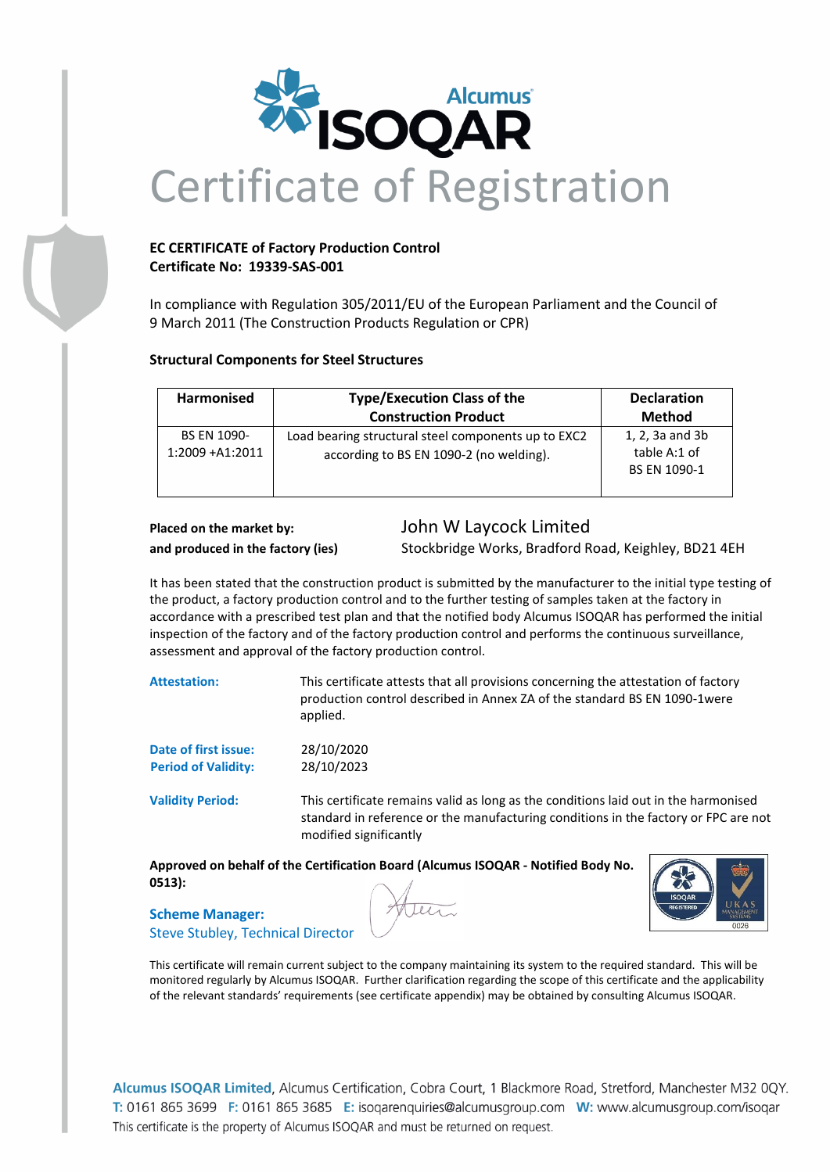

## **EC CERTIFICATE of Factory Production Control Certificate No: 19339-SAS-001**

In compliance with Regulation 305/2011/EU of the European Parliament and the Council of 9 March 2011 (The Construction Products Regulation or CPR)

## **Structural Components for Steel Structures**

| Harmonised                             | <b>Type/Execution Class of the</b>                                                             | <b>Declaration</b>                              |
|----------------------------------------|------------------------------------------------------------------------------------------------|-------------------------------------------------|
|                                        | <b>Construction Product</b>                                                                    | Method                                          |
| <b>BS EN 1090-</b><br>1:2009 + A1:2011 | Load bearing structural steel components up to EXC2<br>according to BS EN 1090-2 (no welding). | 1, 2, 3a and 3b<br>table A:1 of<br>BS EN 1090-1 |

# **Placed on the market by:** John W Laycock Limited

**and produced in the factory (ies)** Stockbridge Works, Bradford Road, Keighley, BD21 4EH

It has been stated that the construction product is submitted by the manufacturer to the initial type testing of the product, a factory production control and to the further testing of samples taken at the factory in accordance with a prescribed test plan and that the notified body Alcumus ISOQAR has performed the initial inspection of the factory and of the factory production control and performs the continuous surveillance, assessment and approval of the factory production control.

**Attestation:** This certificate attests that all provisions concerning the attestation of factory production control described in Annex ZA of the standard BS EN 1090-1were applied.

| Date of first issue:       | 28/10/2020 |
|----------------------------|------------|
| <b>Period of Validity:</b> | 28/10/2023 |

**Validity Period:** This certificate remains valid as long as the conditions laid out in the harmonised standard in reference or the manufacturing conditions in the factory or FPC are not modified significantly

**Approved on behalf of the Certification Board (Alcumus ISOQAR - Notified Body No. 0513):**



**Scheme Manager:** Steve Stubley, Technical Director

Allen

This certificate will remain current subject to the company maintaining its system to the required standard. This will be monitored regularly by Alcumus ISOQAR. Further clarification regarding the scope of this certificate and the applicability of the relevant standards' requirements (see certificate appendix) may be obtained by consulting Alcumus ISOQAR.

Alcumus ISOQAR Limited, Alcumus Certification, Cobra Court, 1 Blackmore Road, Stretford, Manchester M32 0QY. T: 0161 865 3699 F: 0161 865 3685 E: isogarenguiries@alcumusgroup.com W: www.alcumusgroup.com/isogar This certificate is the property of Alcumus ISOOAR and must be returned on request.